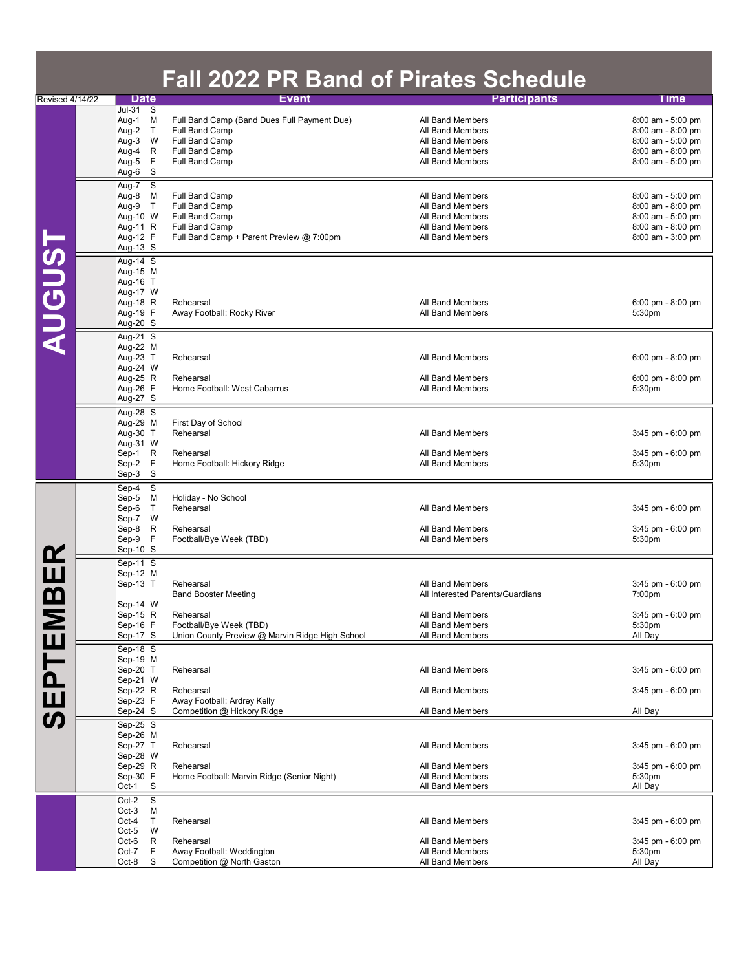|                        |                                                                                        |                                 | <b>Fall 2022 PR Band of Pirates Schedule</b>                                                                                        |                                                                                                                  |                                                                                                       |
|------------------------|----------------------------------------------------------------------------------------|---------------------------------|-------------------------------------------------------------------------------------------------------------------------------------|------------------------------------------------------------------------------------------------------------------|-------------------------------------------------------------------------------------------------------|
| Revised 4/14/22        | <b>Date</b>                                                                            |                                 | <b>Event</b>                                                                                                                        | <b>Participants</b>                                                                                              | Time                                                                                                  |
|                        | Jul-31 S<br>Aug-1 M<br>Aug-2 T<br>Aug-3<br>Aug-4<br>Aug-5<br>Aug-6                     | W<br>R<br>F<br>S                | Full Band Camp (Band Dues Full Payment Due)<br>Full Band Camp<br>Full Band Camp<br>Full Band Camp<br>Full Band Camp                 | All Band Members<br>All Band Members<br>All Band Members<br>All Band Members<br>All Band Members                 | 8:00 am - 5:00 pm<br>8:00 am - 8:00 pm<br>8:00 am - 5:00 pm<br>8:00 am - 8:00 pm<br>8:00 am - 5:00 pm |
|                        | Aug-7<br>Aug-8<br>Aug-9 T<br>Aug-10 W<br>Aug-11 R<br>Aug-12 F<br>Aug-13 S              | $\overline{\mathbf{s}}$<br>M    | Full Band Camp<br>Full Band Camp<br><b>Full Band Camp</b><br>Full Band Camp<br>Full Band Camp + Parent Preview @ 7:00pm             | All Band Members<br>All Band Members<br>All Band Members<br>All Band Members<br>All Band Members                 | 8:00 am - 5:00 pm<br>8:00 am - 8:00 pm<br>8:00 am - 5:00 pm<br>8:00 am - 8:00 pm<br>8:00 am - 3:00 pm |
| <b>AUGUST</b>          | Aug-14 S<br>Aug-15 M<br>Aug-16 T<br>Aug-17 W<br>Aug-18 R<br>Aug-19 F<br>Aug-20 S       |                                 | Rehearsal<br>Away Football: Rocky River                                                                                             | All Band Members<br>All Band Members                                                                             | $6:00 \text{ pm} - 8:00 \text{ pm}$<br>5:30 <sub>pm</sub>                                             |
|                        | Aug-21 S<br>Aug-22 M<br>Aug-23 T<br>Aug-24 W<br>Aug-25 R<br>Aug-26 F<br>Aug-27 S       |                                 | Rehearsal<br>Rehearsal<br>Home Football: West Cabarrus                                                                              | All Band Members<br>All Band Members<br>All Band Members                                                         | $6:00$ pm - $8:00$ pm<br>$6:00$ pm - $8:00$ pm<br>5:30pm                                              |
|                        | Aug-28 S<br>Aug-29 M<br>Aug-30 T<br>Aug-31 W<br>Sep-1 R<br>Sep-2 F<br>Sep-3            | S                               | First Day of School<br>Rehearsal<br>Rehearsal<br>Home Football: Hickory Ridge                                                       | <b>All Band Members</b><br>All Band Members<br>All Band Members                                                  | 3:45 pm - 6:00 pm<br>3:45 pm - 6:00 pm<br>5:30pm                                                      |
|                        | Sep-4<br>Sep-5 M<br>Sep-6<br>Sep-7 W<br>Sep-8<br>Sep-9<br>Sep-10 S                     | S<br>T<br>R<br>F                | Holiday - No School<br>Rehearsal<br>Rehearsal<br>Football/Bye Week (TBD)                                                            | All Band Members<br>All Band Members<br>All Band Members                                                         | 3:45 pm - 6:00 pm<br>3:45 pm - 6:00 pm<br>5:30pm                                                      |
| ER<br>E<br>മ<br>SEPTEM | Sep-11 S<br>Sep-12 M<br>Sep-13 T<br>Sep-14 W<br>Sep-15 R<br>Sep-16 F<br>Sep-17 S       |                                 | Rehearsal<br><b>Band Booster Meeting</b><br>Rehearsal<br>Football/Bye Week (TBD)<br>Union County Preview @ Marvin Ridge High School | All Band Members<br>All Interested Parents/Guardians<br>All Band Members<br>All Band Members<br>All Band Members | 3:45 pm - 6:00 pm<br>7:00pm<br>3:45 pm - 6:00 pm<br>5:30pm<br>All Day                                 |
|                        | $Sep-18$ S<br>Sep-19 M<br>Sep-20 T<br>Sep-21 W<br>Sep-22 R<br>Sep-23 F<br>$Sep-24$ $S$ |                                 | Rehearsal<br>Rehearsal<br>Away Football: Ardrey Kelly<br>Competition @ Hickory Ridge                                                | All Band Members<br>All Band Members<br>All Band Members                                                         | 3:45 pm - 6:00 pm<br>$3:45$ pm - $6:00$ pm<br>All Day                                                 |
|                        | Sep-25 S<br>Sep-26 M<br>Sep-27 T<br>Sep-28 W<br>Sep-29 R<br>Sep-30 F<br>Oct-1          | S                               | Rehearsal<br>Rehearsal<br>Home Football: Marvin Ridge (Senior Night)                                                                | All Band Members<br>All Band Members<br>All Band Members<br>All Band Members                                     | 3:45 pm - 6:00 pm<br>$3:45$ pm - $6:00$ pm<br>5:30pm<br>All Day                                       |
|                        | Oct-2<br>$Oct-3$<br>Oct-4<br>$Oct-5$<br>Oct-6<br>Oct-7<br>Oct-8                        | S<br>М<br>Τ<br>W<br>R<br>F<br>S | Rehearsal<br>Rehearsal<br>Away Football: Weddington<br>Competition @ North Gaston                                                   | All Band Members<br>All Band Members<br>All Band Members<br>All Band Members                                     | 3:45 pm - 6:00 pm<br>3:45 pm - 6:00 pm<br>5:30pm<br>All Day                                           |

**Contract Contract Contract**